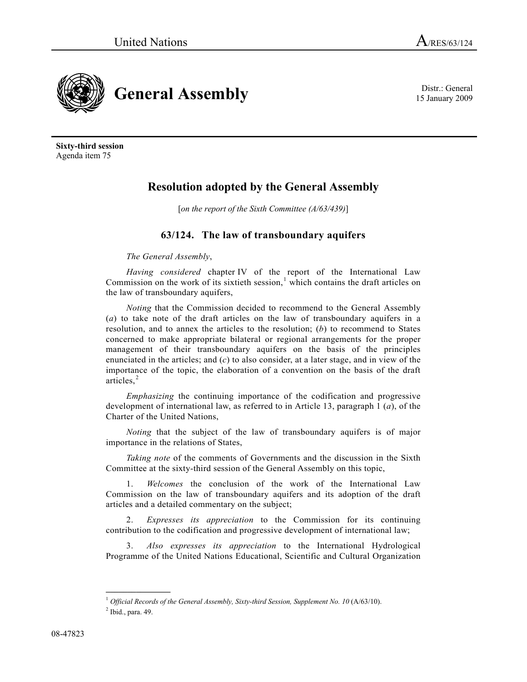15 January 2009



**Sixty-third session**  Agenda item 75

# **Resolution adopted by the General Assembly**

[*on the report of the Sixth Committee (A/63/439)*]

## **63/124. The law of transboundary aquifers**

 *The General Assembly*,

*Having considered* chapter IV of the report of the International Law Commission on the work of its sixtieth session, $<sup>1</sup>$  $<sup>1</sup>$  $<sup>1</sup>$  which contains the draft articles on</sup> the law of transboundary aquifers,

*Noting* that the Commission decided to recommend to the General Assembly (*a*) to take note of the draft articles on the law of transboundary aquifers in a resolution, and to annex the articles to the resolution; (*b*) to recommend to States concerned to make appropriate bilateral or regional arrangements for the proper management of their transboundary aquifers on the basis of the principles enunciated in the articles; and (*c*) to also consider, at a later stage, and in view of the importance of the topic, the elaboration of a convention on the basis of the draft articles,<sup>[2](#page-0-1)</sup>

*Emphasizing* the continuing importance of the codification and progressive development of international law, as referred to in Article 13, paragraph 1 (*a*), of the Charter of the United Nations,

*Noting* that the subject of the law of transboundary aquifers is of major importance in the relations of States,

*Taking note* of the comments of Governments and the discussion in the Sixth Committee at the sixty-third session of the General Assembly on this topic,

 1. *Welcomes* the conclusion of the work of the International Law Commission on the law of transboundary aquifers and its adoption of the draft articles and a detailed commentary on the subject;

 2. *Expresses its appreciation* to the Commission for its continuing contribution to the codification and progressive development of international law;

 3. *Also expresses its appreciation* to the International Hydrological Programme of the United Nations Educational, Scientific and Cultural Organization

<span id="page-0-1"></span><span id="page-0-0"></span><sup>&</sup>lt;sup>1</sup> Official Records of the General Assembly, Sixty-third Session, Supplement No. 10 (A/63/10).

 $<sup>2</sup>$  Ibid., para. 49.</sup>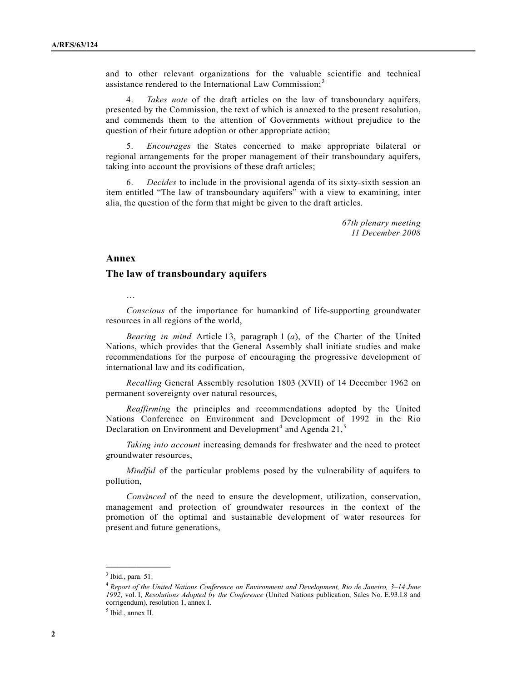and to other relevant organizations for the valuable scientific and technical assistance rendered to the International Law Commission;<sup>[3](#page-1-0)</sup>

 4. *Takes note* of the draft articles on the law of transboundary aquifers, presented by the Commission, the text of which is annexed to the present resolution, and commends them to the attention of Governments without prejudice to the question of their future adoption or other appropriate action;

 5. *Encourages* the States concerned to make appropriate bilateral or regional arrangements for the proper management of their transboundary aquifers, taking into account the provisions of these draft articles;

 6. *Decides* to include in the provisional agenda of its sixty-sixth session an item entitled "The law of transboundary aquifers" with a view to examining, inter alia, the question of the form that might be given to the draft articles.

> *67th plenary meeting 11 December 2008*

### **Annex**

### **The law of transboundary aquifers**

…

*Conscious* of the importance for humankind of life-supporting groundwater resources in all regions of the world,

*Bearing in mind* Article 13, paragraph 1 (*a*), of the Charter of the United Nations, which provides that the General Assembly shall initiate studies and make recommendations for the purpose of encouraging the progressive development of international law and its codification,

*Recalling* General Assembly resolution 1803 (XVII) of 14 December 1962 on permanent sovereignty over natural resources,

*Reaffirming* the principles and recommendations adopted by the United Nations Conference on Environment and Development of 1992 in the Rio Declaration on Environment and Development<sup>[4](#page-1-1)</sup> and Agenda 21,<sup>[5](#page-1-2)</sup>

*Taking into account* increasing demands for freshwater and the need to protect groundwater resources,

*Mindful* of the particular problems posed by the vulnerability of aquifers to pollution,

*Convinced* of the need to ensure the development, utilization, conservation, management and protection of groundwater resources in the context of the promotion of the optimal and sustainable development of water resources for present and future generations,

**\_\_\_\_\_\_\_\_\_\_\_\_\_\_\_** 

 $3$  Ibid., para. 51.

<span id="page-1-1"></span><span id="page-1-0"></span><sup>4</sup> *Report of the United Nations Conference on Environment and Development, Rio de Janeiro, 3–14 June 1992*, vol. I, *Resolutions Adopted by the Conference* (United Nations publication, Sales No. E.93.I.8 and corrigendum), resolution 1, annex I.

<span id="page-1-2"></span><sup>5</sup> Ibid., annex II.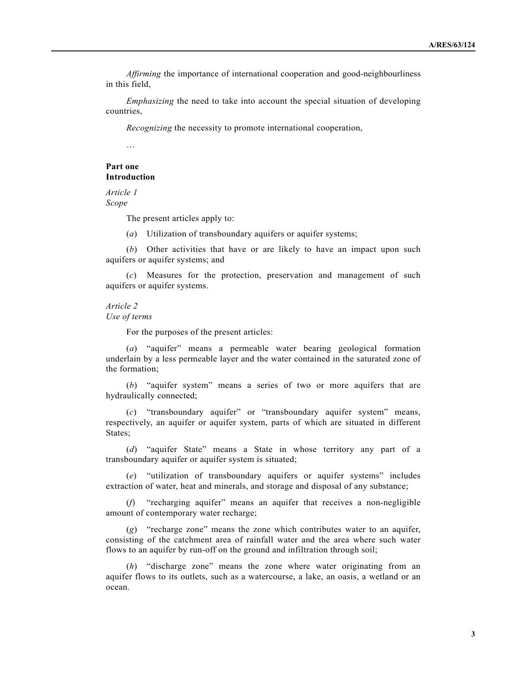*Affirming* the importance of international cooperation and good-neighbourliness in this field,

*Emphasizing* the need to take into account the special situation of developing countries,

*Recognizing* the necessity to promote international cooperation,

…

### **Part one Introduction**

*Article 1 Scope* 

The present articles apply to:

(*a*) Utilization of transboundary aquifers or aquifer systems;

 (*b*) Other activities that have or are likely to have an impact upon such aquifers or aquifer systems; and

 (*c*) Measures for the protection, preservation and management of such aquifers or aquifer systems.

### *Article 2*

*Use of terms* 

For the purposes of the present articles:

 (*a*) "aquifer" means a permeable water bearing geological formation underlain by a less permeable layer and the water contained in the saturated zone of the formation;

 (*b*) "aquifer system" means a series of two or more aquifers that are hydraulically connected;

 (*c*) "transboundary aquifer" or "transboundary aquifer system" means, respectively, an aquifer or aquifer system, parts of which are situated in different States:

 (*d*) "aquifer State" means a State in whose territory any part of a transboundary aquifer or aquifer system is situated;

 (*e*) "utilization of transboundary aquifers or aquifer systems" includes extraction of water, heat and minerals, and storage and disposal of any substance;

 (*f*) "recharging aquifer" means an aquifer that receives a non-negligible amount of contemporary water recharge;

 (*g*) "recharge zone" means the zone which contributes water to an aquifer, consisting of the catchment area of rainfall water and the area where such water flows to an aquifer by run-off on the ground and infiltration through soil;

 (*h*) "discharge zone" means the zone where water originating from an aquifer flows to its outlets, such as a watercourse, a lake, an oasis, a wetland or an ocean.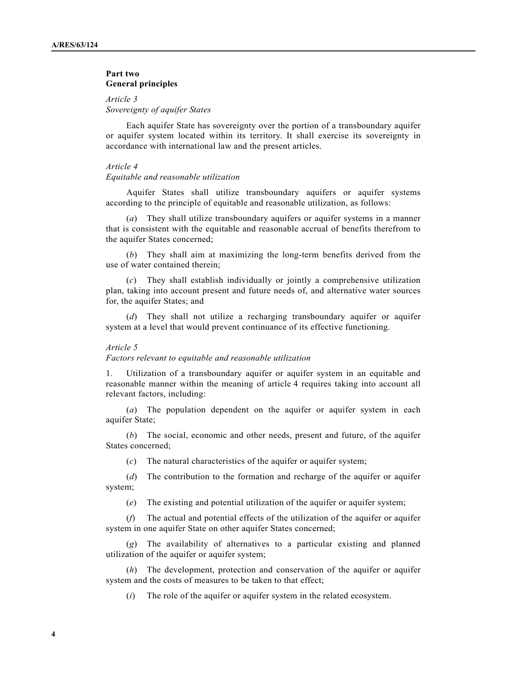### **Part two General principles**

*Article 3 Sovereignty of aquifer States* 

 Each aquifer State has sovereignty over the portion of a transboundary aquifer or aquifer system located within its territory. It shall exercise its sovereignty in accordance with international law and the present articles.

#### *Article 4*

### *Equitable and reasonable utilization*

 Aquifer States shall utilize transboundary aquifers or aquifer systems according to the principle of equitable and reasonable utilization, as follows:

 (*a*) They shall utilize transboundary aquifers or aquifer systems in a manner that is consistent with the equitable and reasonable accrual of benefits therefrom to the aquifer States concerned;

 (*b*) They shall aim at maximizing the long-term benefits derived from the use of water contained therein;

 (*c*) They shall establish individually or jointly a comprehensive utilization plan, taking into account present and future needs of, and alternative water sources for, the aquifer States; and

 (*d*) They shall not utilize a recharging transboundary aquifer or aquifer system at a level that would prevent continuance of its effective functioning.

#### *Article 5*

### *Factors relevant to equitable and reasonable utilization*

1. Utilization of a transboundary aquifer or aquifer system in an equitable and reasonable manner within the meaning of article 4 requires taking into account all relevant factors, including:

 (*a*) The population dependent on the aquifer or aquifer system in each aquifer State;

 (*b*) The social, economic and other needs, present and future, of the aquifer States concerned;

(*c*) The natural characteristics of the aquifer or aquifer system;

 (*d*) The contribution to the formation and recharge of the aquifer or aquifer system;

(*e*) The existing and potential utilization of the aquifer or aquifer system;

 (*f*) The actual and potential effects of the utilization of the aquifer or aquifer system in one aquifer State on other aquifer States concerned;

 (*g*) The availability of alternatives to a particular existing and planned utilization of the aquifer or aquifer system;

 (*h*) The development, protection and conservation of the aquifer or aquifer system and the costs of measures to be taken to that effect;

(*i*) The role of the aquifer or aquifer system in the related ecosystem.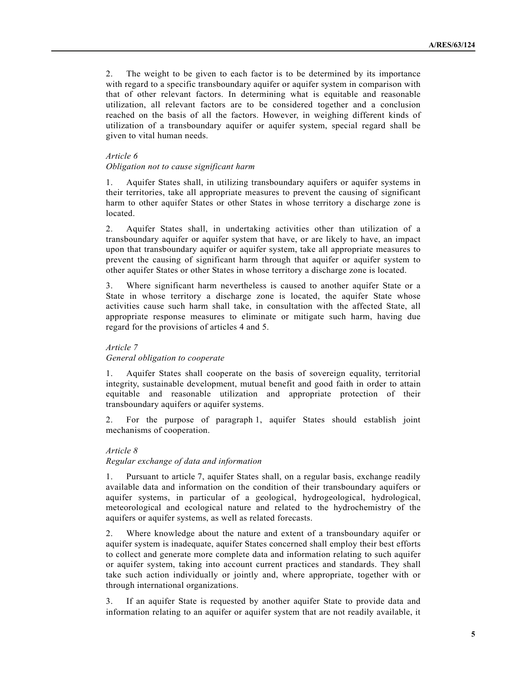2. The weight to be given to each factor is to be determined by its importance with regard to a specific transboundary aquifer or aquifer system in comparison with that of other relevant factors. In determining what is equitable and reasonable utilization, all relevant factors are to be considered together and a conclusion reached on the basis of all the factors. However, in weighing different kinds of utilization of a transboundary aquifer or aquifer system, special regard shall be given to vital human needs.

### *Article 6*

### *Obligation not to cause significant harm*

1. Aquifer States shall, in utilizing transboundary aquifers or aquifer systems in their territories, take all appropriate measures to prevent the causing of significant harm to other aquifer States or other States in whose territory a discharge zone is located.

2. Aquifer States shall, in undertaking activities other than utilization of a transboundary aquifer or aquifer system that have, or are likely to have, an impact upon that transboundary aquifer or aquifer system, take all appropriate measures to prevent the causing of significant harm through that aquifer or aquifer system to other aquifer States or other States in whose territory a discharge zone is located.

3. Where significant harm nevertheless is caused to another aquifer State or a State in whose territory a discharge zone is located, the aquifer State whose activities cause such harm shall take, in consultation with the affected State, all appropriate response measures to eliminate or mitigate such harm, having due regard for the provisions of articles 4 and 5.

### *Article 7*

### *General obligation to cooperate*

1. Aquifer States shall cooperate on the basis of sovereign equality, territorial integrity, sustainable development, mutual benefit and good faith in order to attain equitable and reasonable utilization and appropriate protection of their transboundary aquifers or aquifer systems.

2. For the purpose of paragraph 1, aquifer States should establish joint mechanisms of cooperation.

#### *Article 8*

#### *Regular exchange of data and information*

1. Pursuant to article 7, aquifer States shall, on a regular basis, exchange readily available data and information on the condition of their transboundary aquifers or aquifer systems, in particular of a geological, hydrogeological, hydrological, meteorological and ecological nature and related to the hydrochemistry of the aquifers or aquifer systems, as well as related forecasts.

2. Where knowledge about the nature and extent of a transboundary aquifer or aquifer system is inadequate, aquifer States concerned shall employ their best efforts to collect and generate more complete data and information relating to such aquifer or aquifer system, taking into account current practices and standards. They shall take such action individually or jointly and, where appropriate, together with or through international organizations.

3. If an aquifer State is requested by another aquifer State to provide data and information relating to an aquifer or aquifer system that are not readily available, it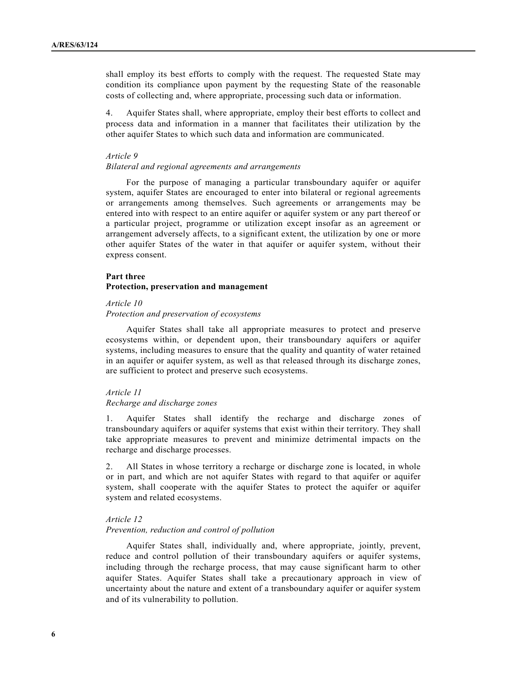shall employ its best efforts to comply with the request. The requested State may condition its compliance upon payment by the requesting State of the reasonable costs of collecting and, where appropriate, processing such data or information.

4. Aquifer States shall, where appropriate, employ their best efforts to collect and process data and information in a manner that facilitates their utilization by the other aquifer States to which such data and information are communicated.

### *Article 9*

#### *Bilateral and regional agreements and arrangements*

 For the purpose of managing a particular transboundary aquifer or aquifer system, aquifer States are encouraged to enter into bilateral or regional agreements or arrangements among themselves. Such agreements or arrangements may be entered into with respect to an entire aquifer or aquifer system or any part thereof or a particular project, programme or utilization except insofar as an agreement or arrangement adversely affects, to a significant extent, the utilization by one or more other aquifer States of the water in that aquifer or aquifer system, without their express consent.

### **Part three Protection, preservation and management**

### *Article 10*

### *Protection and preservation of ecosystems*

 Aquifer States shall take all appropriate measures to protect and preserve ecosystems within, or dependent upon, their transboundary aquifers or aquifer systems, including measures to ensure that the quality and quantity of water retained in an aquifer or aquifer system, as well as that released through its discharge zones, are sufficient to protect and preserve such ecosystems.

### *Article 11*

### *Recharge and discharge zones*

1. Aquifer States shall identify the recharge and discharge zones of transboundary aquifers or aquifer systems that exist within their territory. They shall take appropriate measures to prevent and minimize detrimental impacts on the recharge and discharge processes.

2. All States in whose territory a recharge or discharge zone is located, in whole or in part, and which are not aquifer States with regard to that aquifer or aquifer system, shall cooperate with the aquifer States to protect the aquifer or aquifer system and related ecosystems.

### *Article 12*

### *Prevention, reduction and control of pollution*

 Aquifer States shall, individually and, where appropriate, jointly, prevent, reduce and control pollution of their transboundary aquifers or aquifer systems, including through the recharge process, that may cause significant harm to other aquifer States. Aquifer States shall take a precautionary approach in view of uncertainty about the nature and extent of a transboundary aquifer or aquifer system and of its vulnerability to pollution.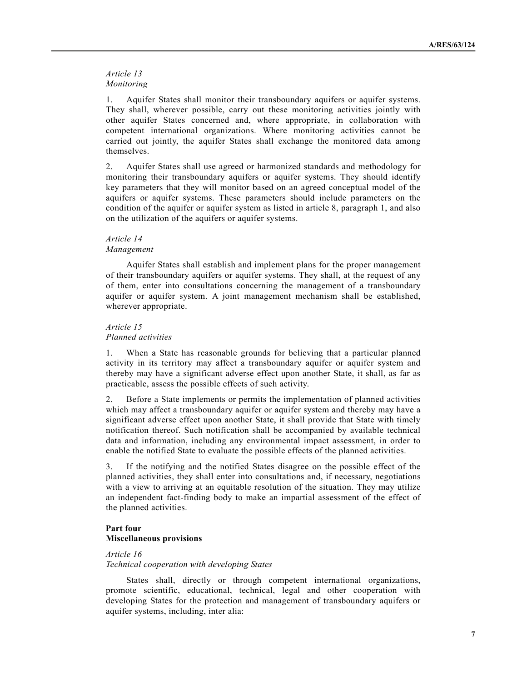### *Article 13 Monitoring*

1. Aquifer States shall monitor their transboundary aquifers or aquifer systems. They shall, wherever possible, carry out these monitoring activities jointly with other aquifer States concerned and, where appropriate, in collaboration with competent international organizations. Where monitoring activities cannot be carried out jointly, the aquifer States shall exchange the monitored data among themselves.

2. Aquifer States shall use agreed or harmonized standards and methodology for monitoring their transboundary aquifers or aquifer systems. They should identify key parameters that they will monitor based on an agreed conceptual model of the aquifers or aquifer systems. These parameters should include parameters on the condition of the aquifer or aquifer system as listed in article 8, paragraph 1, and also on the utilization of the aquifers or aquifer systems.

### *Article 14 Management*

 Aquifer States shall establish and implement plans for the proper management of their transboundary aquifers or aquifer systems. They shall, at the request of any of them, enter into consultations concerning the management of a transboundary aquifer or aquifer system. A joint management mechanism shall be established, wherever appropriate.

### *Article 15 Planned activities*

1. When a State has reasonable grounds for believing that a particular planned activity in its territory may affect a transboundary aquifer or aquifer system and thereby may have a significant adverse effect upon another State, it shall, as far as practicable, assess the possible effects of such activity.

2. Before a State implements or permits the implementation of planned activities which may affect a transboundary aquifer or aquifer system and thereby may have a significant adverse effect upon another State, it shall provide that State with timely notification thereof. Such notification shall be accompanied by available technical data and information, including any environmental impact assessment, in order to enable the notified State to evaluate the possible effects of the planned activities.

3. If the notifying and the notified States disagree on the possible effect of the planned activities, they shall enter into consultations and, if necessary, negotiations with a view to arriving at an equitable resolution of the situation. They may utilize an independent fact-finding body to make an impartial assessment of the effect of the planned activities.

### **Part four Miscellaneous provisions**

### *Article 16 Technical cooperation with developing States*

 States shall, directly or through competent international organizations, promote scientific, educational, technical, legal and other cooperation with developing States for the protection and management of transboundary aquifers or aquifer systems, including, inter alia: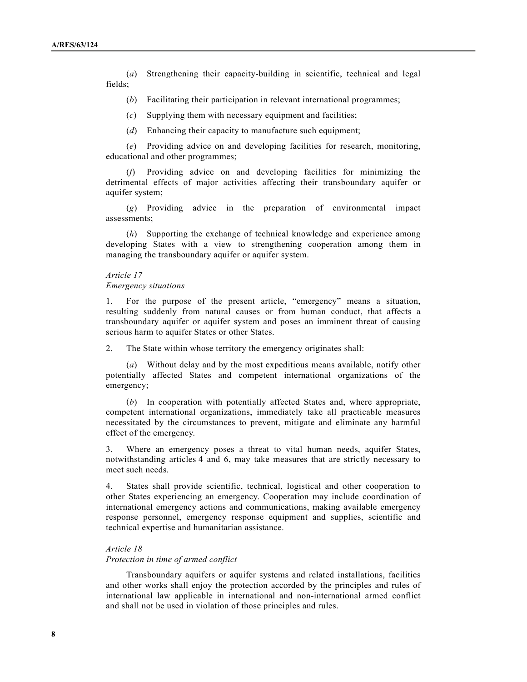(*a*) Strengthening their capacity-building in scientific, technical and legal fields;

(*b*) Facilitating their participation in relevant international programmes;

(*c*) Supplying them with necessary equipment and facilities;

(*d*) Enhancing their capacity to manufacture such equipment;

 (*e*) Providing advice on and developing facilities for research, monitoring, educational and other programmes;

 (*f*) Providing advice on and developing facilities for minimizing the detrimental effects of major activities affecting their transboundary aquifer or aquifer system;

 (*g*) Providing advice in the preparation of environmental impact assessments;

 (*h*) Supporting the exchange of technical knowledge and experience among developing States with a view to strengthening cooperation among them in managing the transboundary aquifer or aquifer system.

#### *Article 17*

#### *Emergency situations*

1. For the purpose of the present article, "emergency" means a situation, resulting suddenly from natural causes or from human conduct, that affects a transboundary aquifer or aquifer system and poses an imminent threat of causing serious harm to aquifer States or other States.

2. The State within whose territory the emergency originates shall:

 (*a*) Without delay and by the most expeditious means available, notify other potentially affected States and competent international organizations of the emergency;

 (*b*) In cooperation with potentially affected States and, where appropriate, competent international organizations, immediately take all practicable measures necessitated by the circumstances to prevent, mitigate and eliminate any harmful effect of the emergency.

3. Where an emergency poses a threat to vital human needs, aquifer States, notwithstanding articles 4 and 6, may take measures that are strictly necessary to meet such needs.

4. States shall provide scientific, technical, logistical and other cooperation to other States experiencing an emergency. Cooperation may include coordination of international emergency actions and communications, making available emergency response personnel, emergency response equipment and supplies, scientific and technical expertise and humanitarian assistance.

### *Article 18*

### *Protection in time of armed conflict*

 Transboundary aquifers or aquifer systems and related installations, facilities and other works shall enjoy the protection accorded by the principles and rules of international law applicable in international and non-international armed conflict and shall not be used in violation of those principles and rules.